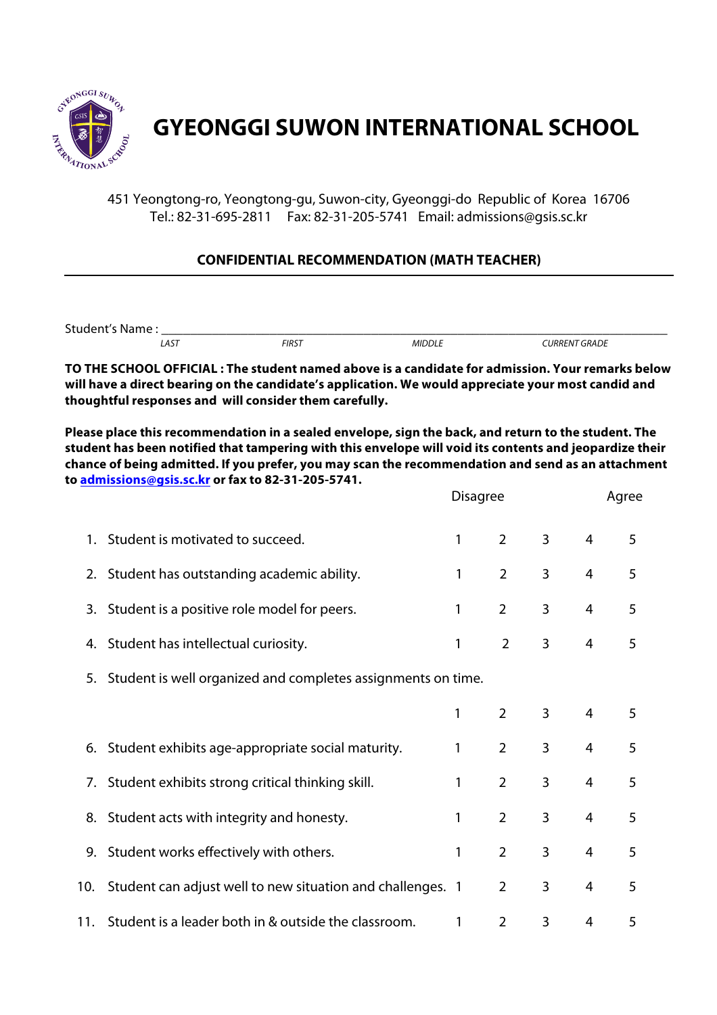

## **GYEONGGI SUWON INTERNATIONAL SCHOOL**

451 Yeongtong-ro, Yeongtong-gu, Suwon-city, Gyeonggi-do Republic of Korea 16706 Tel.: 82-31-695-2811 Fax: 82-31-205-5741 Email: admissions@gsis.sc.kr

## **CONFIDENTIAL RECOMMENDATION (MATH TEACHER)**

Student's Name :<br>
AST FIRST MIDDLE  *LAST FIRST MIDDLE CURRENT GRADE*

**TO THE SCHOOL OFFICIAL : The student named above is a candidate for admission. Your remarks below will have a direct bearing on the candidate's application. We would appreciate your most candid and thoughtful responses and will consider them carefully.**

**Please place this recommendation in a sealed envelope, sign the back, and return to the student. The student has been notified that tampering with this envelope will void its contents and jeopardize their chance of being admitted. If you prefer, you may scan the recommendation and send as an attachment to admissions@gsis.sc.kr or fax to 82-31-205-5741.**

|     |                                                                 | <b>Disagree</b> |                | Agree          |                |   |  |
|-----|-----------------------------------------------------------------|-----------------|----------------|----------------|----------------|---|--|
|     | 1. Student is motivated to succeed.                             | 1               | $\overline{2}$ | $\overline{3}$ | $\overline{4}$ | 5 |  |
|     | 2. Student has outstanding academic ability.                    | 1               | $\overline{2}$ | 3              | $\overline{4}$ | 5 |  |
|     | 3. Student is a positive role model for peers.                  | 1               | $\overline{2}$ | 3              | 4              | 5 |  |
|     | 4. Student has intellectual curiosity.                          | 1               | $\overline{2}$ | 3              | $\overline{4}$ | 5 |  |
|     | 5. Student is well organized and completes assignments on time. |                 |                |                |                |   |  |
|     |                                                                 | 1               | $\overline{2}$ | 3              | $\overline{4}$ | 5 |  |
|     | 6. Student exhibits age-appropriate social maturity.            | 1               | $\overline{2}$ | 3              | $\overline{4}$ | 5 |  |
|     | 7. Student exhibits strong critical thinking skill.             | 1               | $\overline{2}$ | 3              | 4              | 5 |  |
|     | 8. Student acts with integrity and honesty.                     | 1               | $\overline{2}$ | 3              | 4              | 5 |  |
|     | 9. Student works effectively with others.                       | 1               | $\overline{2}$ | 3              | $\overline{4}$ | 5 |  |
| 10. | Student can adjust well to new situation and challenges. 1      |                 | $\overline{2}$ | 3              | 4              | 5 |  |
| 11. | Student is a leader both in & outside the classroom.            | 1               | $\overline{2}$ | 3              | 4              | 5 |  |